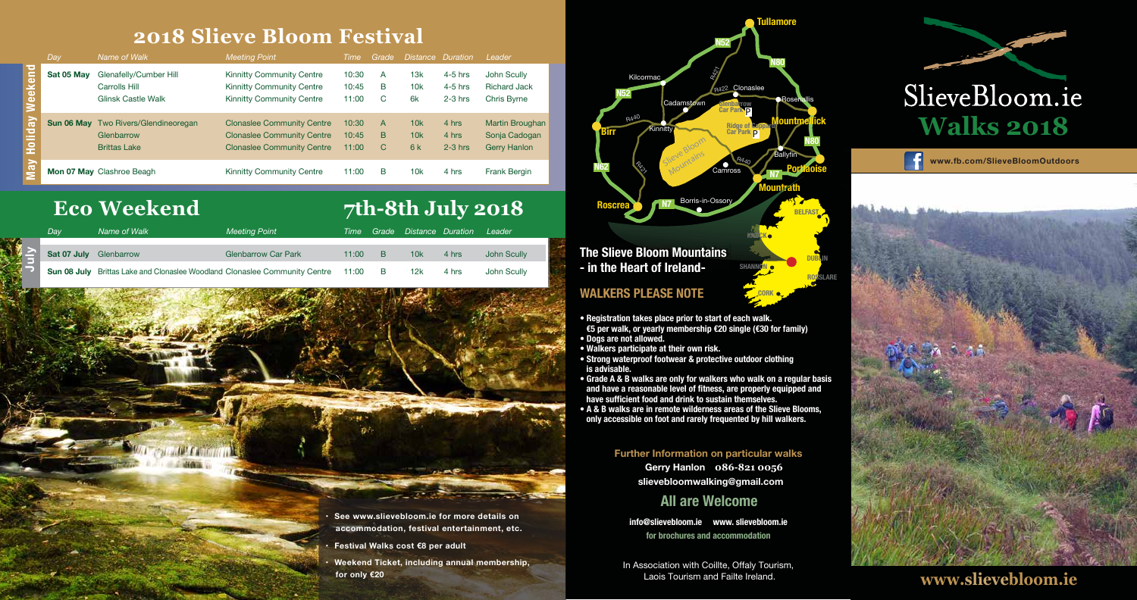**CORK**

### **2018 Slieve Bloom Festival**

**• Registration takes place prior to start of each walk. €5 per walk, or yearly membership €20 single (€30 for family) • Dogs are not allowed.**

- **Walkers participate at their own risk.**
- **Strong waterproof footwear & protective outdoor clothing is advisable.**
- **Grade A & B walks are only for walkers who walk on a regular basis and have a reasonable level of fitness, are properly equipped and have sufficient food and drink to sustain themselves.**
- **A & B walks are in remote wilderness areas of the Slieve Blooms, only accessible on foot and rarely frequented by hill walkers.**



**Further Information on particular walks**

**Gerry Hanlon 086-821 0056 slievebloomwalking@gmail.com**

**info@slievebloom.ie www. slievebloom.ie for brochures and accommodation**

### **All are Welcome**

**www.fb.com/SlieveBloomOutdoors**





In Association with Coillte, Offaly Tourism, Laois Tourism and Failte Ireland.



- **• Festival Walks cost €8 per adult**
- **• Weekend Ticket, including annual membership,**

### **for only €20 www.slievebloom.ie**

#### **WALKERS PLEASE NOTE**

|                            | Day        | Name of Walk                                                                     | <b>Meeting Point</b>                                                                                        | Time                    | Grade       | <i>Distance</i>  | Duration                            | Leader                                                         |
|----------------------------|------------|----------------------------------------------------------------------------------|-------------------------------------------------------------------------------------------------------------|-------------------------|-------------|------------------|-------------------------------------|----------------------------------------------------------------|
| eekend                     | Sat 05 May | Glenafelly/Cumber Hill<br>Carrolls Hill<br>Glinsk Castle Walk                    | <b>Kinnitty Community Centre</b><br><b>Kinnitty Community Centre</b><br><b>Kinnitty Community Centre</b>    | 10:30<br>10:45<br>11:00 | A<br>B<br>С | 13k<br>10k<br>6k | $4-5$ hrs<br>$4-5$ hrs<br>$2-3$ hrs | John Scully<br><b>Richard Jack</b><br>Chris Byrne              |
| iday<br>$\bullet$          |            | <b>Sun 06 May</b> Two Rivers/Glendineoregan<br>Glenbarrow<br><b>Brittas Lake</b> | <b>Clonaslee Community Centre</b><br><b>Clonaslee Community Centre</b><br><b>Clonaslee Community Centre</b> | 10:30<br>10:45<br>11:00 | A<br>B<br>C | 10k<br>10k<br>6k | 4 hrs<br>4 hrs<br>$2-3$ hrs         | <b>Martin Broughan</b><br>Sonja Cadogan<br><b>Gerry Hanlon</b> |
| $\overline{\mathsf{I}}$ ay |            | Mon 07 May Clashroe Beagh                                                        | <b>Kinnitty Community Centre</b>                                                                            | 11:00                   | B           | 10k              | 4 hrs                               | Frank Bergin                                                   |

# **Eco Weekend** 7th-8th July 2018

|  | Dav                    | Name of Walk                                                                            | <b>Meeting Point</b>       |       |                |     | Time Grade Distance Duration | Leader      |
|--|------------------------|-----------------------------------------------------------------------------------------|----------------------------|-------|----------------|-----|------------------------------|-------------|
|  |                        |                                                                                         |                            |       |                |     |                              |             |
|  | Sat 07 July Glenbarrow |                                                                                         | <b>Glenbarrow Car Park</b> | 11:00 | B              | 10k | 4 hrs                        | John Scully |
|  |                        | <b>Sun 08 July</b> Brittas Lake and Clonaslee Woodland Clonaslee Community Centre 11:00 |                            |       | $\overline{B}$ | 12k | 4 hrs                        | John Scully |